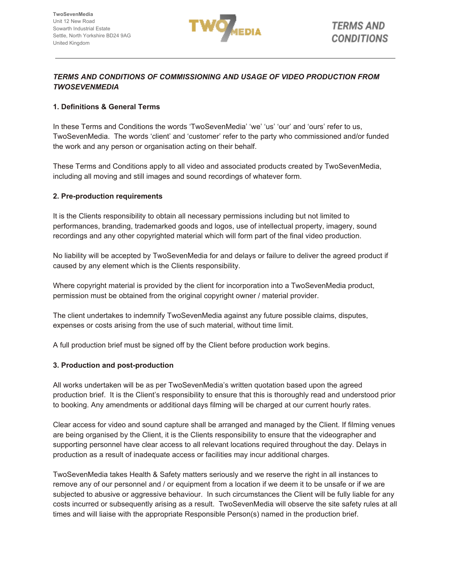

# *TERMS AND CONDITIONS OF COMMISSIONING AND USAGE OF VIDEO PRODUCTION FROM TWOSEVENMEDIA*

## **1. Definitions & General Terms**

In these Terms and Conditions the words 'TwoSevenMedia' 'we' 'us' 'our' and 'ours' refer to us, TwoSevenMedia. The words 'client' and 'customer' refer to the party who commissioned and/or funded the work and any person or organisation acting on their behalf.

These Terms and Conditions apply to all video and associated products created by TwoSevenMedia, including all moving and still images and sound recordings of whatever form.

# **2. Pre-production requirements**

It is the Clients responsibility to obtain all necessary permissions including but not limited to performances, branding, trademarked goods and logos, use of intellectual property, imagery, sound recordings and any other copyrighted material which will form part of the final video production.

No liability will be accepted by TwoSevenMedia for and delays or failure to deliver the agreed product if caused by any element which is the Clients responsibility.

Where copyright material is provided by the client for incorporation into a TwoSevenMedia product, permission must be obtained from the original copyright owner / material provider.

The client undertakes to indemnify TwoSevenMedia against any future possible claims, disputes, expenses or costs arising from the use of such material, without time limit.

A full production brief must be signed off by the Client before production work begins.

#### **3. Production and post-production**

All works undertaken will be as per TwoSevenMedia's written quotation based upon the agreed production brief. It is the Client's responsibility to ensure that this is thoroughly read and understood prior to booking. Any amendments or additional days filming will be charged at our current hourly rates.

Clear access for video and sound capture shall be arranged and managed by the Client. If filming venues are being organised by the Client, it is the Clients responsibility to ensure that the videographer and supporting personnel have clear access to all relevant locations required throughout the day. Delays in production as a result of inadequate access or facilities may incur additional charges.

TwoSevenMedia takes Health & Safety matters seriously and we reserve the right in all instances to remove any of our personnel and / or equipment from a location if we deem it to be unsafe or if we are subjected to abusive or aggressive behaviour. In such circumstances the Client will be fully liable for any costs incurred or subsequently arising as a result. TwoSevenMedia will observe the site safety rules at all times and will liaise with the appropriate Responsible Person(s) named in the production brief.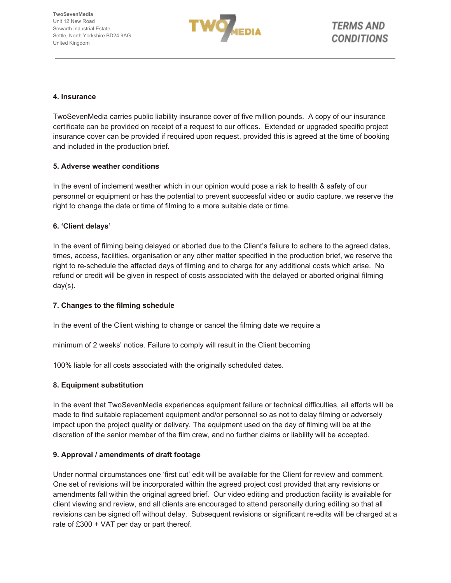

#### **4. Insurance**

TwoSevenMedia carries public liability insurance cover of five million pounds. A copy of our insurance certificate can be provided on receipt of a request to our offices. Extended or upgraded specific project insurance cover can be provided if required upon request, provided this is agreed at the time of booking and included in the production brief.

#### **5. Adverse weather conditions**

In the event of inclement weather which in our opinion would pose a risk to health & safety of our personnel or equipment or has the potential to prevent successful video or audio capture, we reserve the right to change the date or time of filming to a more suitable date or time.

#### **6. 'Client delays'**

In the event of filming being delayed or aborted due to the Client's failure to adhere to the agreed dates, times, access, facilities, organisation or any other matter specified in the production brief, we reserve the right to re-schedule the affected days of filming and to charge for any additional costs which arise. No refund or credit will be given in respect of costs associated with the delayed or aborted original filming day(s).

#### **7. Changes to the filming schedule**

In the event of the Client wishing to change or cancel the filming date we require a

minimum of 2 weeks' notice. Failure to comply will result in the Client becoming

100% liable for all costs associated with the originally scheduled dates.

#### **8. Equipment substitution**

In the event that TwoSevenMedia experiences equipment failure or technical difficulties, all efforts will be made to find suitable replacement equipment and/or personnel so as not to delay filming or adversely impact upon the project quality or delivery. The equipment used on the day of filming will be at the discretion of the senior member of the film crew, and no further claims or liability will be accepted.

#### **9. Approval / amendments of draft footage**

Under normal circumstances one 'first cut' edit will be available for the Client for review and comment. One set of revisions will be incorporated within the agreed project cost provided that any revisions or amendments fall within the original agreed brief. Our video editing and production facility is available for client viewing and review, and all clients are encouraged to attend personally during editing so that all revisions can be signed off without delay. Subsequent revisions or significant re-edits will be charged at a rate of £300 + VAT per day or part thereof.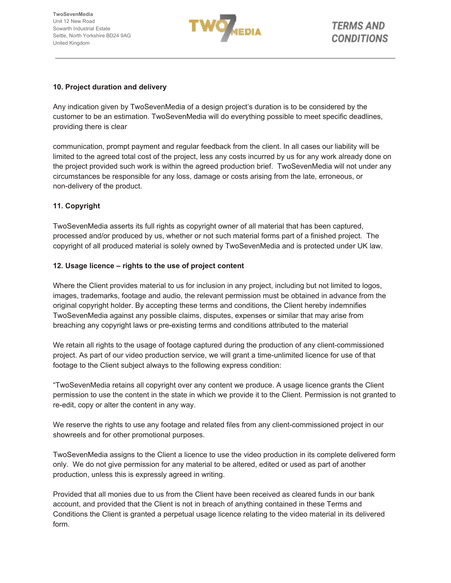

## **10. Project duration and delivery**

Any indication given by TwoSevenMedia of a design project's duration is to be considered by the customer to be an estimation. TwoSevenMedia will do everything possible to meet specific deadlines, providing there is clear

communication, prompt payment and regular feedback from the client. In all cases our liability will be limited to the agreed total cost of the project, less any costs incurred by us for any work already done on the project provided such work is within the agreed production brief. TwoSevenMedia will not under any circumstances be responsible for any loss, damage or costs arising from the late, erroneous, or non-delivery of the product.

# **11. Copyright**

TwoSevenMedia asserts its full rights as copyright owner of all material that has been captured, processed and/or produced by us, whether or not such material forms part of a finished project. The copyright of all produced material is solely owned by TwoSevenMedia and is protected under UK law.

#### **12. Usage licence – rights to the use of project content**

Where the Client provides material to us for inclusion in any project, including but not limited to logos, images, trademarks, footage and audio, the relevant permission must be obtained in advance from the original copyright holder. By accepting these terms and conditions, the Client hereby indemnifies TwoSevenMedia against any possible claims, disputes, expenses or similar that may arise from breaching any copyright laws or pre-existing terms and conditions attributed to the material

We retain all rights to the usage of footage captured during the production of any client-commissioned project. As part of our video production service, we will grant a time-unlimited licence for use of that footage to the Client subject always to the following express condition:

"TwoSevenMedia retains all copyright over any content we produce. A usage licence grants the Client permission to use the content in the state in which we provide it to the Client. Permission is not granted to re-edit, copy or alter the content in any way.

We reserve the rights to use any footage and related files from any client-commissioned project in our showreels and for other promotional purposes.

TwoSevenMedia assigns to the Client a licence to use the video production in its complete delivered form only. We do not give permission for any material to be altered, edited or used as part of another production, unless this is expressly agreed in writing.

Provided that all monies due to us from the Client have been received as cleared funds in our bank account, and provided that the Client is not in breach of anything contained in these Terms and Conditions the Client is granted a perpetual usage licence relating to the video material in its delivered form.